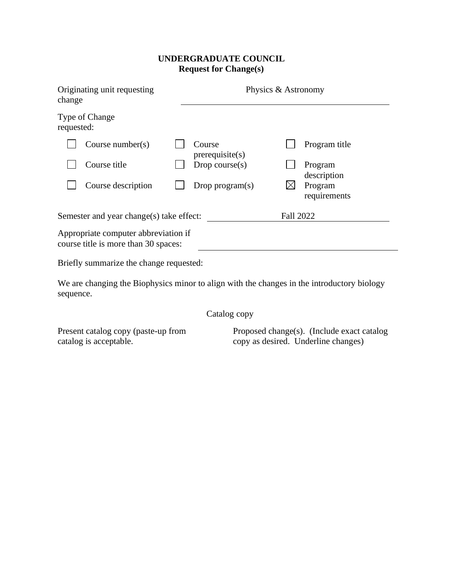## **UNDERGRADUATE COUNCIL Request for Change(s)**

| Originating unit requesting<br>change                                        |                      |  | Physics & Astronomy      |           |                         |  |
|------------------------------------------------------------------------------|----------------------|--|--------------------------|-----------|-------------------------|--|
| Type of Change<br>requested:                                                 |                      |  |                          |           |                         |  |
|                                                                              | Course number( $s$ ) |  | Course<br>precquisite(s) |           | Program title           |  |
|                                                                              | Course title         |  | Drop course $(s)$        |           | Program<br>description  |  |
|                                                                              | Course description   |  | Drop program $(s)$       |           | Program<br>requirements |  |
| Semester and year change(s) take effect:                                     |                      |  |                          | Fall 2022 |                         |  |
| Appropriate computer abbreviation if<br>course title is more than 30 spaces: |                      |  |                          |           |                         |  |
| Briefly summarize the change requested:                                      |                      |  |                          |           |                         |  |

We are changing the Biophysics minor to align with the changes in the introductory biology sequence.

Catalog copy

Present catalog copy (paste-up from catalog is acceptable.

Proposed change(s). (Include exact catalog copy as desired. Underline changes)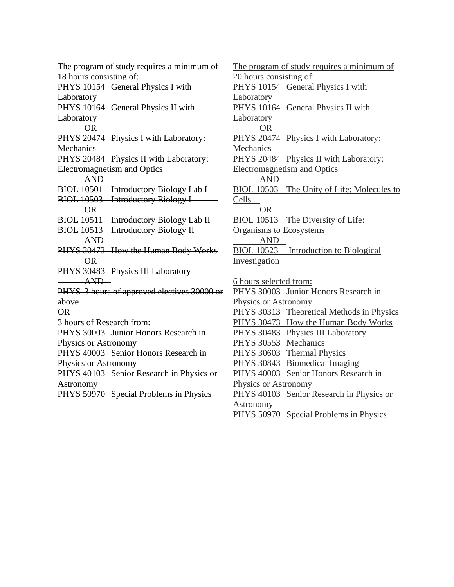The program of study requires a minimum of 18 hours consisting of: PHYS 10154 General Physics I with Laboratory PHYS 10164 General Physics II with Laboratory OR PHYS 20474 Physics I with Laboratory: Mechanics PHYS 20484 Physics II with Laboratory: Electromagnetism and Optics AND BIOL 10501 Introductory Biology Lab I — BIOL 10503 Introductory Biology I  $OR$ BIOL 10511 Introductory Biology Lab II BIOL 10513 Introductory Biology II AND PHYS 30473 How the Human Body Works OR PHYS 30483 Physics III Laboratory AND PHYS 3 hours of approved electives 30000 or above OR 3 hours of Research from: PHYS 30003 Junior Honors Research in Physics or Astronomy PHYS 40003 Senior Honors Research in Physics or Astronomy PHYS 40103 Senior Research in Physics or Astronomy PHYS 50970 Special Problems in Physics

The program of study requires a minimum of 20 hours consisting of: PHYS 10154 General Physics I with **Laboratory** PHYS 10164 General Physics II with **Laboratory** OR PHYS 20474 Physics I with Laboratory: **Mechanics** PHYS 20484 Physics II with Laboratory: Electromagnetism and Optics AND BIOL 10503 The Unity of Life: Molecules to Cells OR BIOL 10513 The Diversity of Life: Organisms to Ecosystems AND BIOL 10523 Introduction to Biological Investigation 6 hours selected from: PHYS 30003 Junior Honors Research in Physics or Astronomy PHYS 30313 Theoretical Methods in Physics PHYS 30473 How the Human Body Works PHYS 30483 Physics III Laboratory PHYS 30553 Mechanics PHYS 30603 Thermal Physics PHYS 30843 Biomedical Imaging PHYS 40003 Senior Honors Research in Physics or Astronomy PHYS 40103 Senior Research in Physics or Astronomy PHYS 50970 Special Problems in Physics